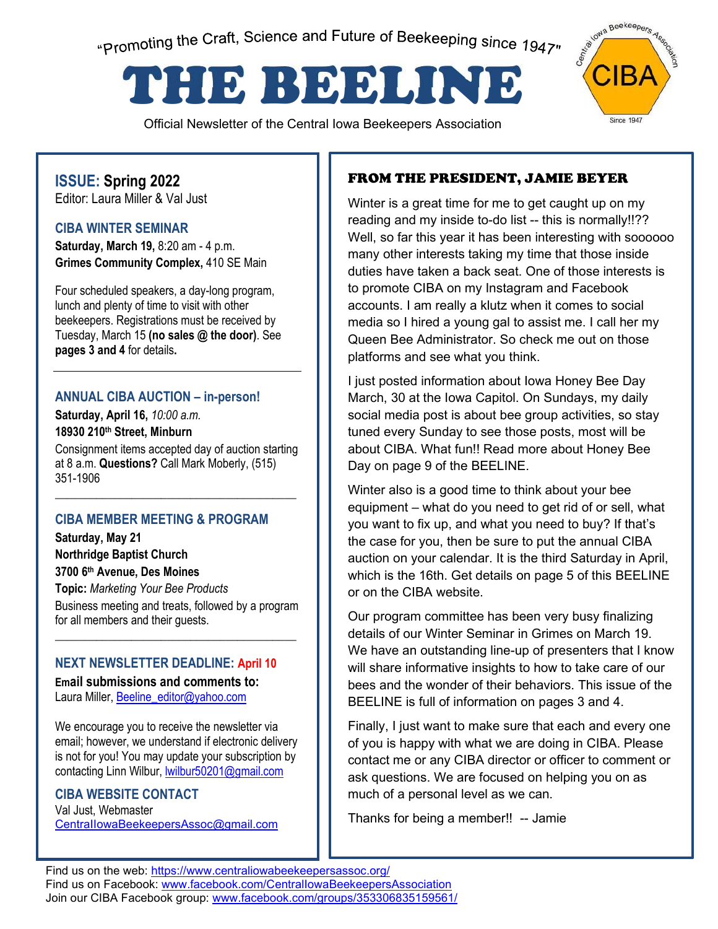"Promoting the Craft, Science and Future of Beekeeping since 1947"

# THE BEELINE

Official Newsletter of the Central Iowa Beekeepers Association



### **ISSUE: Spring 2022**  Editor: Laura Miller & Val Just

**CIBA WINTER SEMINAR** 

**Saturday, March 19,** 8:20 am - 4 p.m. **Grimes Community Complex,** 410 SE Main

Four scheduled speakers, a day-long program, lunch and plenty of time to visit with other beekeepers. Registrations must be received by Tuesday, March 15 **(no sales @ the door)**. See **pages 3 and 4** for details**.** 

### **ANNUAL CIBA AUCTION – in-person!**

**Saturday, April 16,** *10:00 a.m.* **18930 210th Street, Minburn** 

Consignment items accepted day of auction starting at 8 a.m. **Questions?** Call Mark Moberly, (515) 351-1906

\_\_\_\_\_\_\_\_\_\_\_\_\_\_\_\_\_\_\_\_\_\_\_\_\_\_\_\_\_\_\_\_\_\_\_\_\_\_\_\_\_

### **CIBA MEMBER MEETING & PROGRAM**

**Saturday, May 21 Northridge Baptist Church 3700 6th Avenue, Des Moines Topic:** *Marketing Your Bee Products* Business meeting and treats, followed by a program for all members and their guests.

\_\_\_\_\_\_\_\_\_\_\_\_\_\_\_\_\_\_\_\_\_\_\_\_\_\_\_\_\_\_\_\_\_\_\_\_\_\_\_\_\_

### **NEXT NEWSLETTER DEADLINE: April 10**

**Email submissions and comments to:**  Laura Miller, Beeline\_editor@yahoo.com

We encourage you to receive the newsletter via email; however, we understand if electronic delivery is not for you! You may update your subscription by contacting Linn Wilbur, lwilbur50201@gmail.com

### **CIBA WEBSITE CONTACT**

Val Just, Webmaster CentraIIowaBeekeepersAssoc@gmail.com

### FROM THE PRESIDENT, JAMIE BEYER

Winter is a great time for me to get caught up on my reading and my inside to-do list -- this is normally!!?? Well, so far this year it has been interesting with soooooo many other interests taking my time that those inside duties have taken a back seat. One of those interests is to promote CIBA on my Instagram and Facebook accounts. I am really a klutz when it comes to social media so I hired a young gal to assist me. I call her my Queen Bee Administrator. So check me out on those platforms and see what you think.

I just posted information about Iowa Honey Bee Day March, 30 at the Iowa Capitol. On Sundays, my daily social media post is about bee group activities, so stay tuned every Sunday to see those posts, most will be about CIBA. What fun!! Read more about Honey Bee Day on page 9 of the BEELINE.

Winter also is a good time to think about your bee equipment – what do you need to get rid of or sell, what you want to fix up, and what you need to buy? If that's the case for you, then be sure to put the annual CIBA auction on your calendar. It is the third Saturday in April, which is the 16th. Get details on page 5 of this BEELINE or on the CIBA website.

Our program committee has been very busy finalizing details of our Winter Seminar in Grimes on March 19. We have an outstanding line-up of presenters that I know will share informative insights to how to take care of our bees and the wonder of their behaviors. This issue of the BEELINE is full of information on pages 3 and 4.

Finally, I just want to make sure that each and every one of you is happy with what we are doing in CIBA. Please contact me or any CIBA director or officer to comment or ask questions. We are focused on helping you on as much of a personal level as we can.

Thanks for being a member!! -- Jamie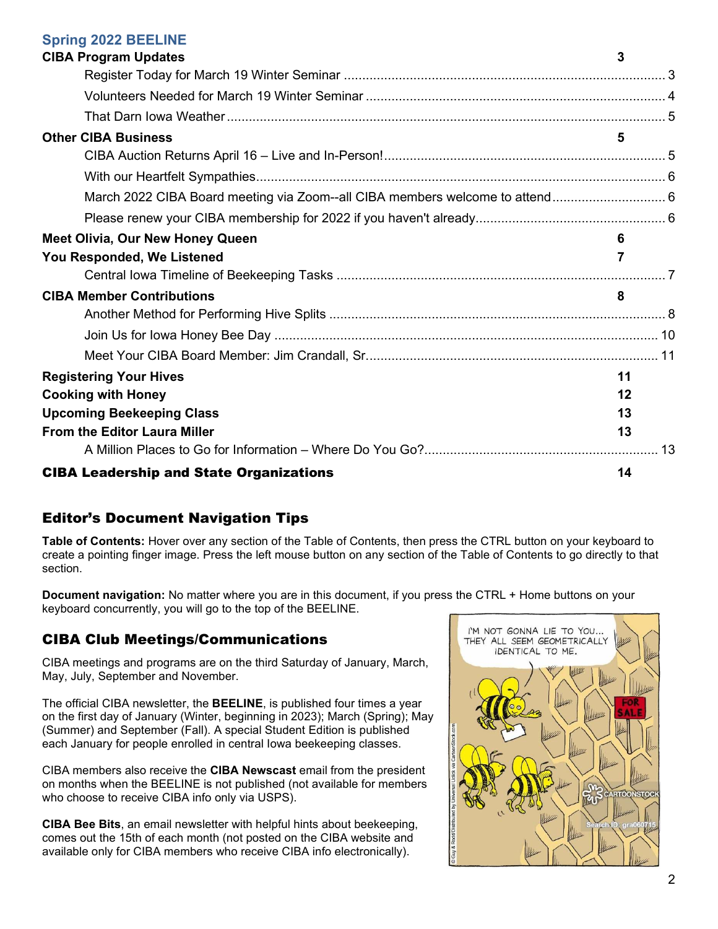#### **Spring 2022 BEELINE**

| <b>CIBA Program Updates</b>                                                  | 3  |  |
|------------------------------------------------------------------------------|----|--|
|                                                                              |    |  |
|                                                                              |    |  |
|                                                                              |    |  |
| <b>Other CIBA Business</b>                                                   | 5  |  |
|                                                                              |    |  |
|                                                                              |    |  |
| March 2022 CIBA Board meeting via Zoom--all CIBA members welcome to attend 6 |    |  |
|                                                                              |    |  |
| Meet Olivia, Our New Honey Queen                                             |    |  |
| You Responded, We Listened                                                   | 7  |  |
|                                                                              |    |  |
| <b>CIBA Member Contributions</b>                                             | 8  |  |
|                                                                              |    |  |
|                                                                              |    |  |
|                                                                              |    |  |
| <b>Registering Your Hives</b>                                                | 11 |  |
| <b>Cooking with Honey</b>                                                    | 12 |  |
| <b>Upcoming Beekeeping Class</b>                                             | 13 |  |
| From the Editor Laura Miller                                                 | 13 |  |
|                                                                              |    |  |
| <b>CIBA Leadership and State Organizations</b>                               | 14 |  |

### Editor's Document Navigation Tips

**Table of Contents:** Hover over any section of the Table of Contents, then press the CTRL button on your keyboard to create a pointing finger image. Press the left mouse button on any section of the Table of Contents to go directly to that section.

**Document navigation:** No matter where you are in this document, if you press the CTRL + Home buttons on your keyboard concurrently, you will go to the top of the BEELINE.

### CIBA Club Meetings/Communications

CIBA meetings and programs are on the third Saturday of January, March, May, July, September and November.

The official CIBA newsletter, the **BEELINE**, is published four times a year on the first day of January (Winter, beginning in 2023); March (Spring); May (Summer) and September (Fall). A special Student Edition is published each January for people enrolled in central Iowa beekeeping classes.

CIBA members also receive the **CIBA Newscast** email from the president on months when the BEELINE is not published (not available for members who choose to receive CIBA info only via USPS).

**CIBA Bee Bits**, an email newsletter with helpful hints about beekeeping, comes out the 15th of each month (not posted on the CIBA website and available only for CIBA members who receive CIBA info electronically).

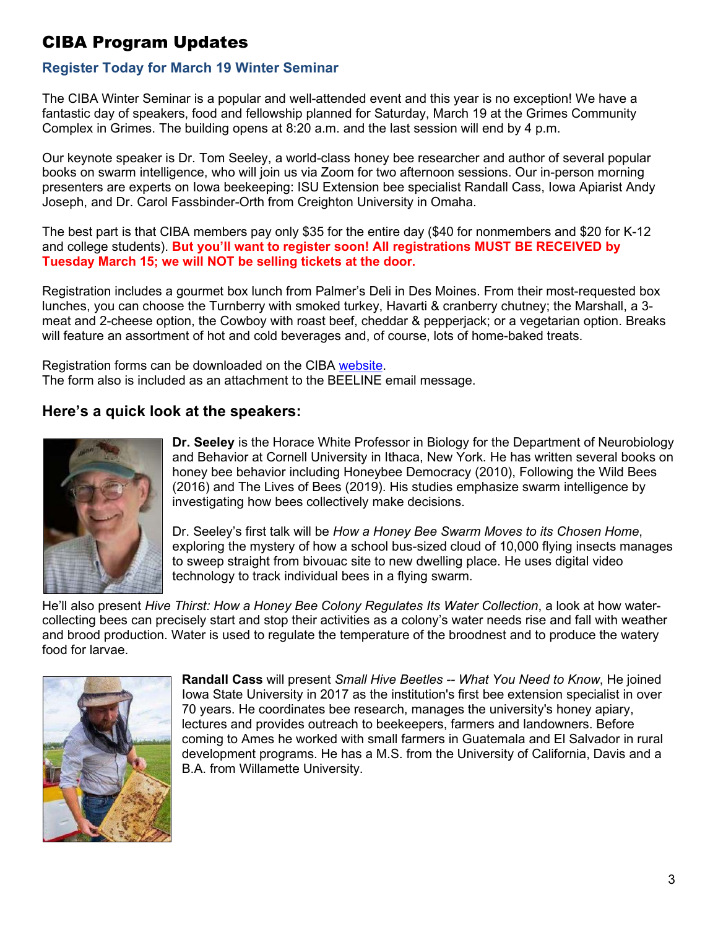# <span id="page-2-0"></span>CIBA Program Updates

# <span id="page-2-1"></span>**Register Today for March 19 Winter Seminar**

The CIBA Winter Seminar is a popular and well-attended event and this year is no exception! We have a fantastic day of speakers, food and fellowship planned for Saturday, March 19 at the Grimes Community Complex in Grimes. The building opens at 8:20 a.m. and the last session will end by 4 p.m.

Our keynote speaker is Dr. Tom Seeley, a world-class honey bee researcher and author of several popular books on swarm intelligence, who will join us via Zoom for two afternoon sessions. Our in-person morning presenters are experts on Iowa beekeeping: ISU Extension bee specialist Randall Cass, Iowa Apiarist Andy Joseph, and Dr. Carol Fassbinder-Orth from Creighton University in Omaha.

The best part is that CIBA members pay only \$35 for the entire day (\$40 for nonmembers and \$20 for K-12 and college students). **But you'll want to register soon! All registrations MUST BE RECEIVED by Tuesday March 15; we will NOT be selling tickets at the door.**

Registration includes a gourmet box lunch from Palmer's Deli in Des Moines. From their most-requested box lunches, you can choose the Turnberry with smoked turkey, Havarti & cranberry chutney; the Marshall, a 3 meat and 2-cheese option, the Cowboy with roast beef, cheddar & pepperjack; or a vegetarian option. Breaks will feature an assortment of hot and cold beverages and, of course, lots of home-baked treats.

Registration forms can be downloaded on the CIBA [website](http://www.centraliowabeekeepersassoc.org/winter-seminar-march-2022). The form also is included as an attachment to the BEELINE email message.

# **Here's a quick look at the speakers:**



**Dr. Seeley** is the Horace White Professor in Biology for the Department of Neurobiology and Behavior at Cornell University in Ithaca, New York. He has written several books on honey bee behavior including Honeybee Democracy (2010), Following the Wild Bees (2016) and The Lives of Bees (2019). His studies emphasize swarm intelligence by investigating how bees collectively make decisions.

Dr. Seeley's first talk will be *How a Honey Bee Swarm Moves to its Chosen Home*, exploring the mystery of how a school bus-sized cloud of 10,000 flying insects manages to sweep straight from bivouac site to new dwelling place. He uses digital video technology to track individual bees in a flying swarm.

He'll also present *Hive Thirst: How a Honey Bee Colony Regulates Its Water Collection*, a look at how watercollecting bees can precisely start and stop their activities as a colony's water needs rise and fall with weather and brood production. Water is used to regulate the temperature of the broodnest and to produce the watery food for larvae.



**Randall Cass** will present *Small Hive Beetles -- What You Need to Know*, He joined Iowa State University in 2017 as the institution's first bee extension specialist in over 70 years. He coordinates bee research, manages the university's honey apiary, lectures and provides outreach to beekeepers, farmers and landowners. Before coming to Ames he worked with small farmers in Guatemala and El Salvador in rural development programs. He has a M.S. from the University of California, Davis and a B.A. from Willamette University.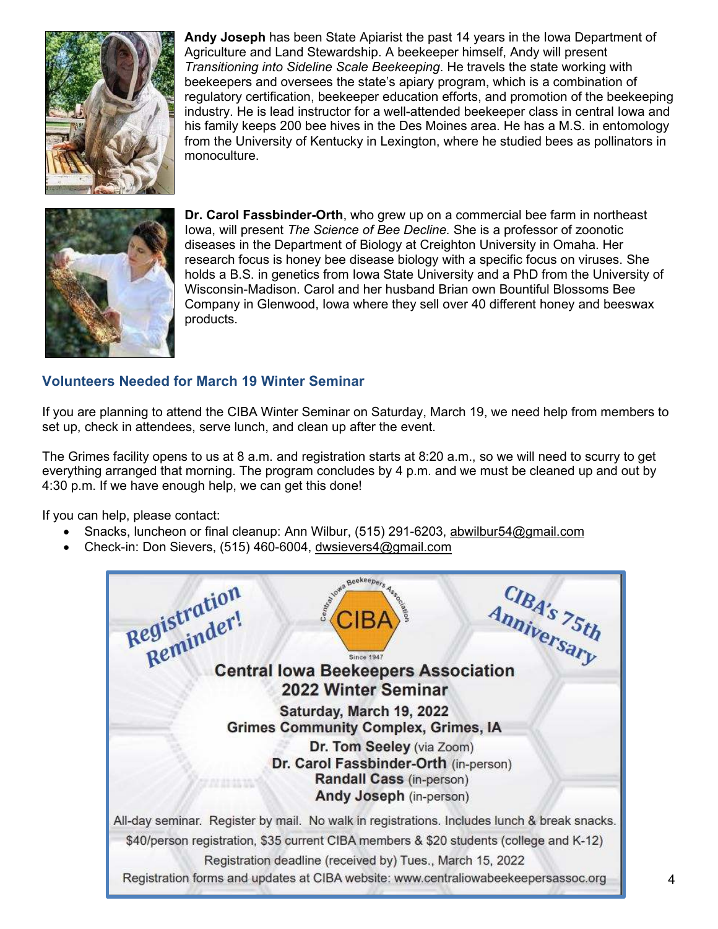

**Andy Joseph** has been State Apiarist the past 14 years in the Iowa Department of Agriculture and Land Stewardship. A beekeeper himself, Andy will present *Transitioning into Sideline Scale Beekeeping*. He travels the state working with beekeepers and oversees the state's apiary program, which is a combination of regulatory certification, beekeeper education efforts, and promotion of the beekeeping industry. He is lead instructor for a well-attended beekeeper class in central Iowa and his family keeps 200 bee hives in the Des Moines area. He has a M.S. in entomology from the University of Kentucky in Lexington, where he studied bees as pollinators in monoculture.



**Dr. Carol Fassbinder-Orth**, who grew up on a commercial bee farm in northeast Iowa, will present *The Science of Bee Decline.* She is a professor of zoonotic diseases in the Department of Biology at Creighton University in Omaha. Her research focus is honey bee disease biology with a specific focus on viruses. She holds a B.S. in genetics from Iowa State University and a PhD from the University of Wisconsin-Madison. Carol and her husband Brian own Bountiful Blossoms Bee Company in Glenwood, Iowa where they sell over 40 different honey and beeswax products.

### <span id="page-3-0"></span>**Volunteers Needed for March 19 Winter Seminar**

If you are planning to attend the CIBA Winter Seminar on Saturday, March 19, we need help from members to set up, check in attendees, serve lunch, and clean up after the event.

The Grimes facility opens to us at 8 a.m. and registration starts at 8:20 a.m., so we will need to scurry to get everything arranged that morning. The program concludes by 4 p.m. and we must be cleaned up and out by 4:30 p.m. If we have enough help, we can get this done!

If you can help, please contact:

- Snacks, luncheon or final cleanup: Ann Wilbur, (515) 291-62[03, abwilbur54@gmail.com](mailto:abwilbur54@gmail.com)
- Check-in: Don Sievers, (515) 460-60[04, dwsievers4@gmail.com](mailto:dwsievers4@gmail.com)

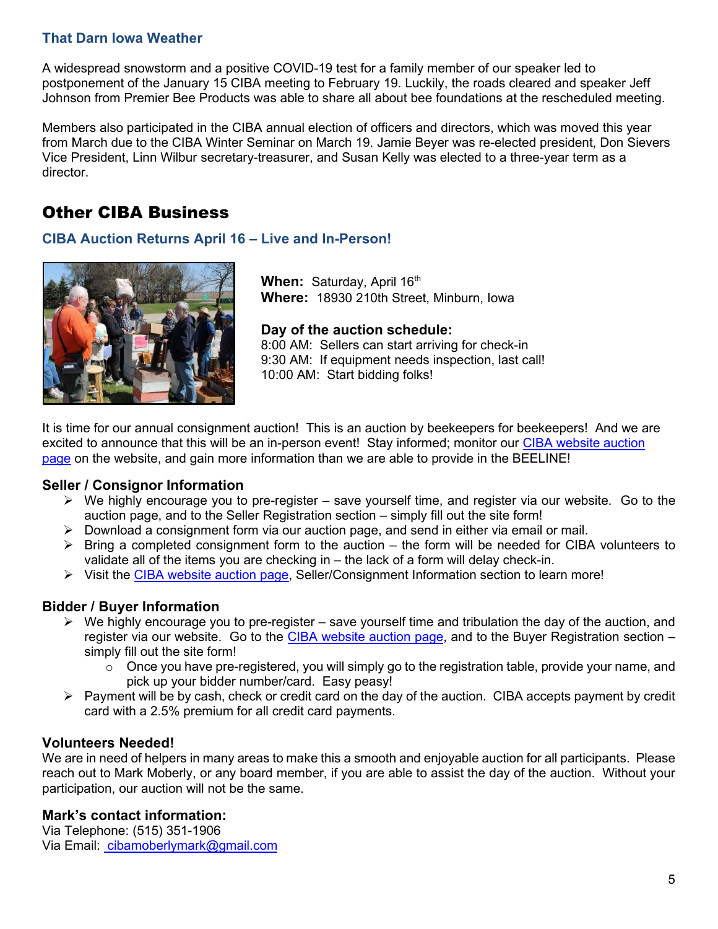### <span id="page-4-0"></span>**That Darn Iowa Weather**

A widespread snowstorm and a positive COVID-19 test for a family member of our speaker led to postponement of the January 15 CIBA meeting to February 19. Luckily, the roads cleared and speaker Jeff Johnson from Premier Bee Products was able to share all about bee foundations at the rescheduled meeting.

Members also participated in the CIBA annual election of officers and directors, which was moved this year from March due to the CIBA Winter Seminar on March 19. Jamie Beyer was re-elected president, Don Sievers Vice President, Linn Wilbur secretary-treasurer, and Susan Kelly was elected to a three-year term as a director.

# <span id="page-4-1"></span>Other CIBA Business

### <span id="page-4-2"></span>**CIBA Auction Returns April 16 – Live and In-Person!**



**When:** Saturday, April 16<sup>th</sup> **Where:** 18930 210th Street, Minburn, Iowa

**Day of the auction schedule:** 

8:00 AM: Sellers can start arriving for check-in 9:30 AM: If equipment needs inspection, last call! 10:00 AM: Start bidding folks!

It is time for our annual consignment auction! This is an auction by beekeepers for beekeepers! And we are excit[ed to announce that this will be an in-person event! Stay informed; monitor our C](https://www.centraliowabeekeepersassoc.org/about-3)IBA website auction page on the website, and gain more information than we are able to provide in the BEELINE!

### **Seller / Consignor Information**

- $\triangleright$  We highly encourage you to pre-register save yourself time, and register via our website. Go to the auction page, and to the Seller Registration section – simply fill out the site form!
- $\triangleright$  Download a consignment form via our auction page, and send in either via email or mail.
- $\triangleright$  Bring a completed consignment form to the auction the form will be needed for CIBA volunteers to validate all of the items you are checking in – the lack of a form will delay check-in.
- $\triangleright$  Visit [the CIBA website auction page](https://www.centraliowabeekeepersassoc.org/about-3), Seller/Consignment Information section to learn more!

### **Bidder / Buyer Information**

- $\triangleright$  We highly encourage you to pre-register save yourself time and tribulation the day of the auction, and register via our website. G[o to the CIBA website auction page](https://www.centraliowabeekeepersassoc.org/about-3), and to the Buyer Registration section – simply fill out the site form!
	- $\circ$  Once you have pre-registered, you will simply go to the registration table, provide your name, and pick up your bidder number/card. Easy peasy!
- $\triangleright$  Payment will be by cash, check or credit card on the day of the auction. CIBA accepts payment by credit card with a 2.5% premium for all credit card payments.

### **Volunteers Needed!**

We are in need of helpers in many areas to make this a smooth and enjoyable auction for all participants. Please reach out to Mark Moberly, or any board member, if you are able to assist the day of the auction. Without your participation, our auction will not be the same.

### **Mark's contact information:**

Via Telephone: (515) 351-1906 Via Email: [cibamoberlymark@gmail.com](mailto:mkmobe@gmail.com)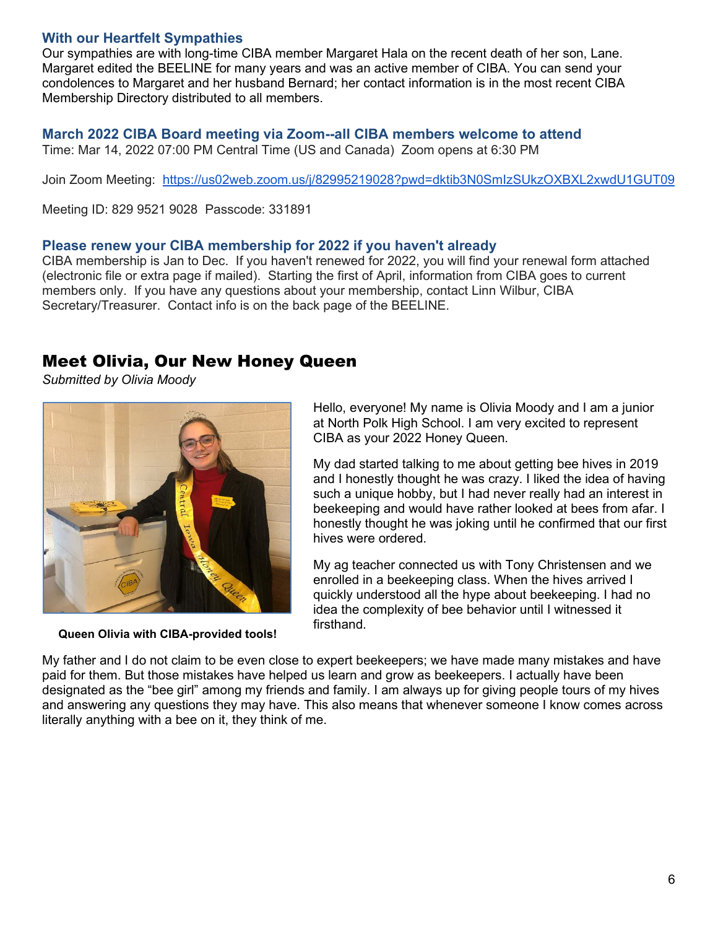### <span id="page-5-0"></span>**With our Heartfelt Sympathies**

Our sympathies are with long-time CIBA member Margaret Hala on the recent death of her son, Lane. Margaret edited the BEELINE for many years and was an active member of CIBA. You can send your condolences to Margaret and her husband Bernard; her contact information is in the most recent CIBA Membership Directory distributed to all members.

# <span id="page-5-1"></span>**March 2022 CIBA Board meeting via Zoom--all CIBA members welcome to attend**

Time: Mar 14, 2022 07:00 PM Central Time (US and Canada) Zoom opens at 6:30 PM

Join Zoom Meeting: <https://us02web.zoom.us/j/82995219028?pwd=dktib3N0SmIzSUkzOXBXL2xwdU1GUT09>

Meeting ID: 829 9521 9028 Passcode: 331891

### <span id="page-5-2"></span>**Please renew your CIBA membership for 2022 if you haven't already**

CIBA membership is Jan to Dec. If you haven't renewed for 2022, you will find your renewal form attached (electronic file or extra page if mailed). Starting the first of April, information from CIBA goes to current members only. If you have any questions about your membership, contact Linn Wilbur, CIBA Secretary/Treasurer. Contact info is on the back page of the BEELINE.

## <span id="page-5-3"></span>Meet Olivia, Our New Honey Queen

*Submitted by Olivia Moody* 



**Queen Olivia with CIBA-provided tools!** 

Hello, everyone! My name is Olivia Moody and I am a junior at North Polk High School. I am very excited to represent CIBA as your 2022 Honey Queen.

My dad started talking to me about getting bee hives in 2019 and I honestly thought he was crazy. I liked the idea of having such a unique hobby, but I had never really had an interest in beekeeping and would have rather looked at bees from afar. I honestly thought he was joking until he confirmed that our first hives were ordered.

My ag teacher connected us with Tony Christensen and we enrolled in a beekeeping class. When the hives arrived I quickly understood all the hype about beekeeping. I had no idea the complexity of bee behavior until I witnessed it firsthand.

My father and I do not claim to be even close to expert beekeepers; we have made many mistakes and have paid for them. But those mistakes have helped us learn and grow as beekeepers. I actually have been designated as the "bee girl" among my friends and family. I am always up for giving people tours of my hives and answering any questions they may have. This also means that whenever someone I know comes across literally anything with a bee on it, they think of me.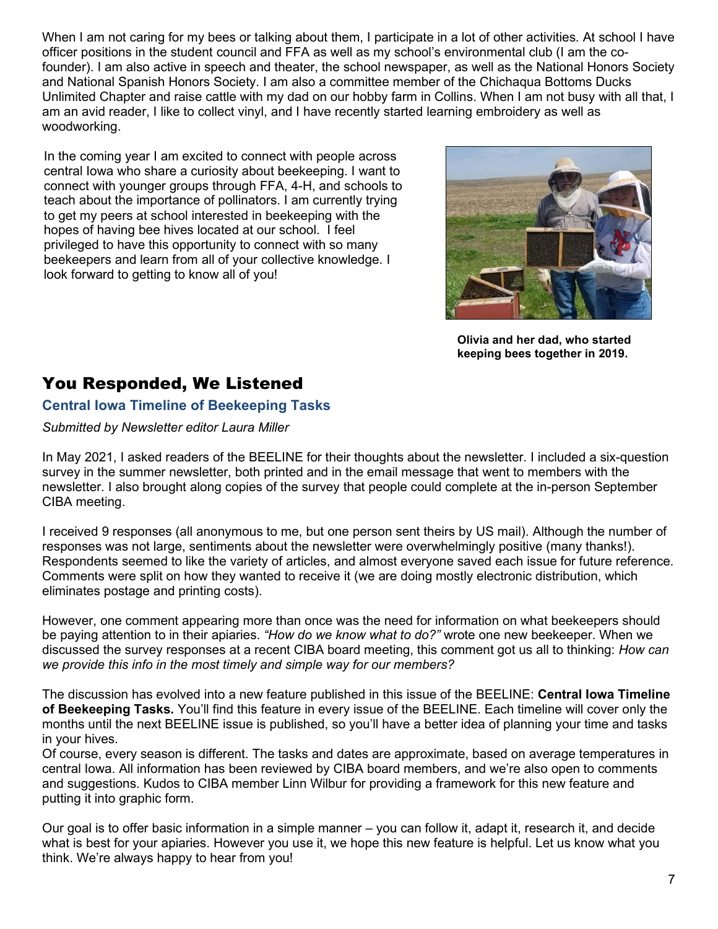When I am not caring for my bees or talking about them, I participate in a lot of other activities. At school I have officer positions in the student council and FFA as well as my school's environmental club (I am the cofounder). I am also active in speech and theater, the school newspaper, as well as the National Honors Society and National Spanish Honors Society. I am also a committee member of the Chichaqua Bottoms Ducks Unlimited Chapter and raise cattle with my dad on our hobby farm in Collins. When I am not busy with all that, I am an avid reader, I like to collect vinyl, and I have recently started learning embroidery as well as woodworking.

In the coming year I am excited to connect with people across central Iowa who share a curiosity about beekeeping. I want to connect with younger groups through FFA, 4-H, and schools to teach about the importance of pollinators. I am currently trying to get my peers at school interested in beekeeping with the hopes of having bee hives located at our school. I feel privileged to have this opportunity to connect with so many beekeepers and learn from all of your collective knowledge. I look forward to getting to know all of you!



**Olivia and her dad, who started keeping bees together in 2019.** 

# <span id="page-6-0"></span>You Responded, We Listened

### <span id="page-6-1"></span>**Central Iowa Timeline of Beekeeping Tasks**

### *Submitted by Newsletter editor Laura Miller*

In May 2021, I asked readers of the BEELINE for their thoughts about the newsletter. I included a six-question survey in the summer newsletter, both printed and in the email message that went to members with the newsletter. I also brought along copies of the survey that people could complete at the in-person September CIBA meeting.

I received 9 responses (all anonymous to me, but one person sent theirs by US mail). Although the number of responses was not large, sentiments about the newsletter were overwhelmingly positive (many thanks!). Respondents seemed to like the variety of articles, and almost everyone saved each issue for future reference. Comments were split on how they wanted to receive it (we are doing mostly electronic distribution, which eliminates postage and printing costs).

However, one comment appearing more than once was the need for information on what beekeepers should be paying attention to in their apiaries. *"How do we know what to do?"* wrote one new beekeeper. When we discussed the survey responses at a recent CIBA board meeting, this comment got us all to thinking: *How can we provide this info in the most timely and simple way for our members?*

The discussion has evolved into a new feature published in this issue of the BEELINE: **Central Iowa Timeline of Beekeeping Tasks.** You'll find this feature in every issue of the BEELINE. Each timeline will cover only the months until the next BEELINE issue is published, so you'll have a better idea of planning your time and tasks in your hives.

Of course, every season is different. The tasks and dates are approximate, based on average temperatures in central Iowa. All information has been reviewed by CIBA board members, and we're also open to comments and suggestions. Kudos to CIBA member Linn Wilbur for providing a framework for this new feature and putting it into graphic form.

Our goal is to offer basic information in a simple manner – you can follow it, adapt it, research it, and decide what is best for your apiaries. However you use it, we hope this new feature is helpful. Let us know what you think. We're always happy to hear from you!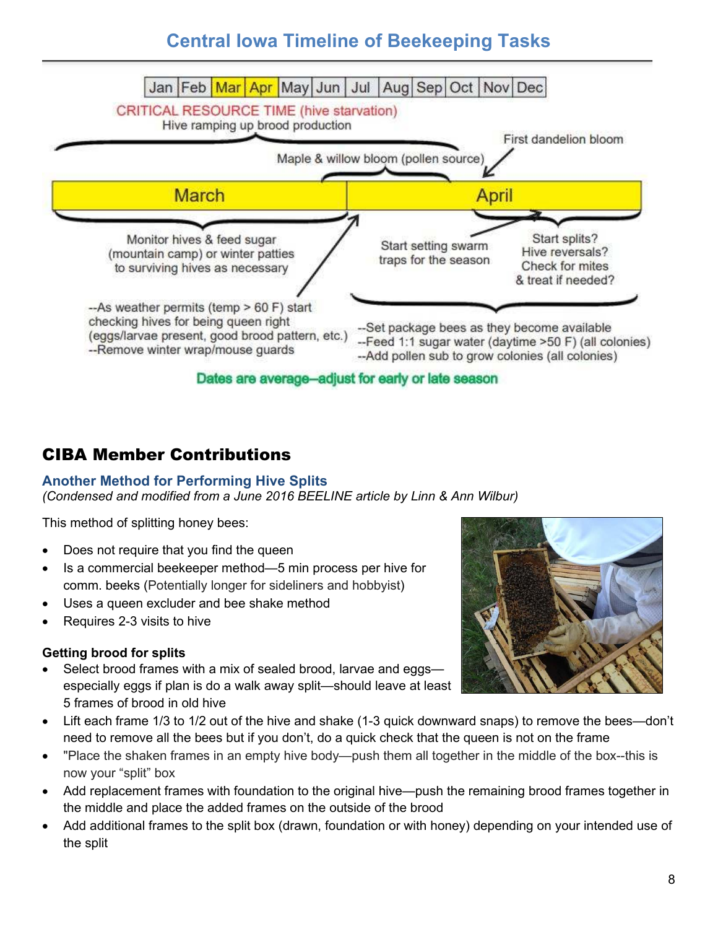# **Central Iowa Timeline of Beekeeping Tasks**



# <span id="page-7-0"></span>CIBA Member Contributions

### <span id="page-7-1"></span>**Another Method for Performing Hive Splits**

*(Condensed and modified from a June 2016 BEELINE article by Linn & Ann Wilbur)* 

This method of splitting honey bees:

- Does not require that you find the queen
- Is a commercial beekeeper method—5 min process per hive for comm. beeks (Potentially longer for sideliners and hobbyist)
- Uses a queen excluder and bee shake method
- Requires 2-3 visits to hive

### **Getting brood for splits**

- Select brood frames with a mix of sealed brood, larvae and eggs especially eggs if plan is do a walk away split—should leave at least 5 frames of brood in old hive
- Lift each frame 1/3 to 1/2 out of the hive and shake (1-3 quick downward snaps) to remove the bees—don't need to remove all the bees but if you don't, do a quick check that the queen is not on the frame
- "Place the shaken frames in an empty hive body—push them all together in the middle of the box--this is now your "split" box
- Add replacement frames with foundation to the original hive—push the remaining brood frames together in the middle and place the added frames on the outside of the brood
- Add additional frames to the split box (drawn, foundation or with honey) depending on your intended use of the split

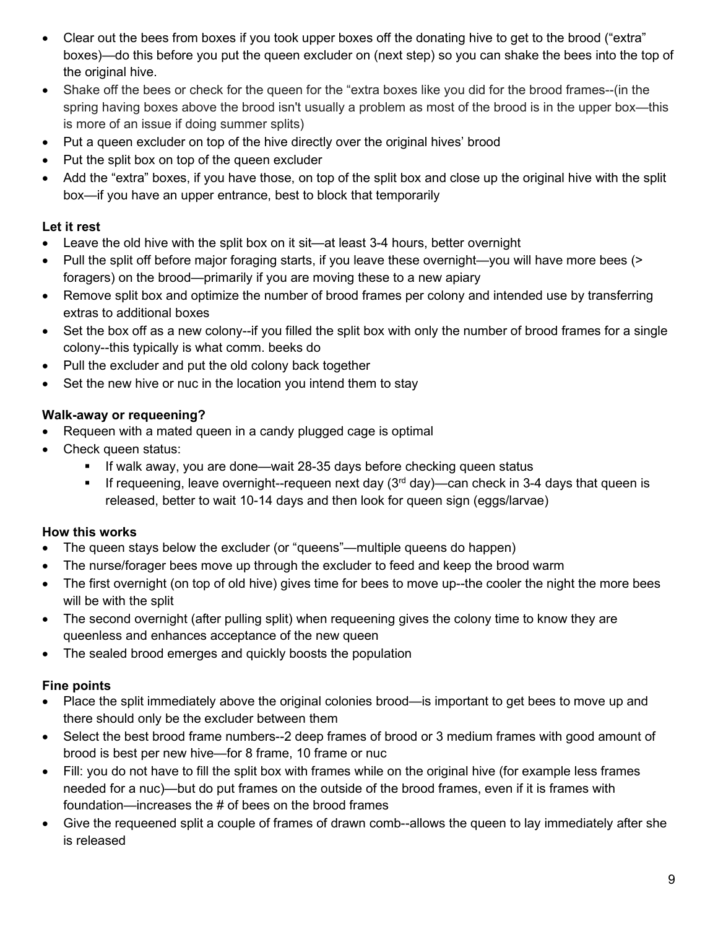- Clear out the bees from boxes if you took upper boxes off the donating hive to get to the brood ("extra" boxes)—do this before you put the queen excluder on (next step) so you can shake the bees into the top of the original hive.
- Shake off the bees or check for the queen for the "extra boxes like you did for the brood frames--(in the spring having boxes above the brood isn't usually a problem as most of the brood is in the upper box—this is more of an issue if doing summer splits)
- Put a queen excluder on top of the hive directly over the original hives' brood
- Put the split box on top of the queen excluder
- Add the "extra" boxes, if you have those, on top of the split box and close up the original hive with the split box—if you have an upper entrance, best to block that temporarily

### **Let it rest**

- Leave the old hive with the split box on it sit—at least 3-4 hours, better overnight
- Pull the split off before major foraging starts, if you leave these overnight—you will have more bees (> foragers) on the brood—primarily if you are moving these to a new apiary
- Remove split box and optimize the number of brood frames per colony and intended use by transferring extras to additional boxes
- Set the box off as a new colony--if you filled the split box with only the number of brood frames for a single colony--this typically is what comm. beeks do
- Pull the excluder and put the old colony back together
- Set the new hive or nuc in the location you intend them to stay

### **Walk-away or requeening?**

- Requeen with a mated queen in a candy plugged cage is optimal
- Check queen status:
	- **If walk away, you are done—wait 28-35 days before checking queen status**
	- **If requeening, leave overnight--requeen next day (3<sup>rd</sup> day)—can check in 3-4 days that queen is** released, better to wait 10-14 days and then look for queen sign (eggs/larvae)

### **How this works**

- The queen stays below the excluder (or "queens"—multiple queens do happen)
- The nurse/forager bees move up through the excluder to feed and keep the brood warm
- The first overnight (on top of old hive) gives time for bees to move up--the cooler the night the more bees will be with the split
- The second overnight (after pulling split) when requeening gives the colony time to know they are queenless and enhances acceptance of the new queen
- The sealed brood emerges and quickly boosts the population

### **Fine points**

- Place the split immediately above the original colonies brood—is important to get bees to move up and there should only be the excluder between them
- Select the best brood frame numbers--2 deep frames of brood or 3 medium frames with good amount of brood is best per new hive—for 8 frame, 10 frame or nuc
- Fill: you do not have to fill the split box with frames while on the original hive (for example less frames needed for a nuc)—but do put frames on the outside of the brood frames, even if it is frames with foundation—increases the # of bees on the brood frames
- Give the requeened split a couple of frames of drawn comb--allows the queen to lay immediately after she is released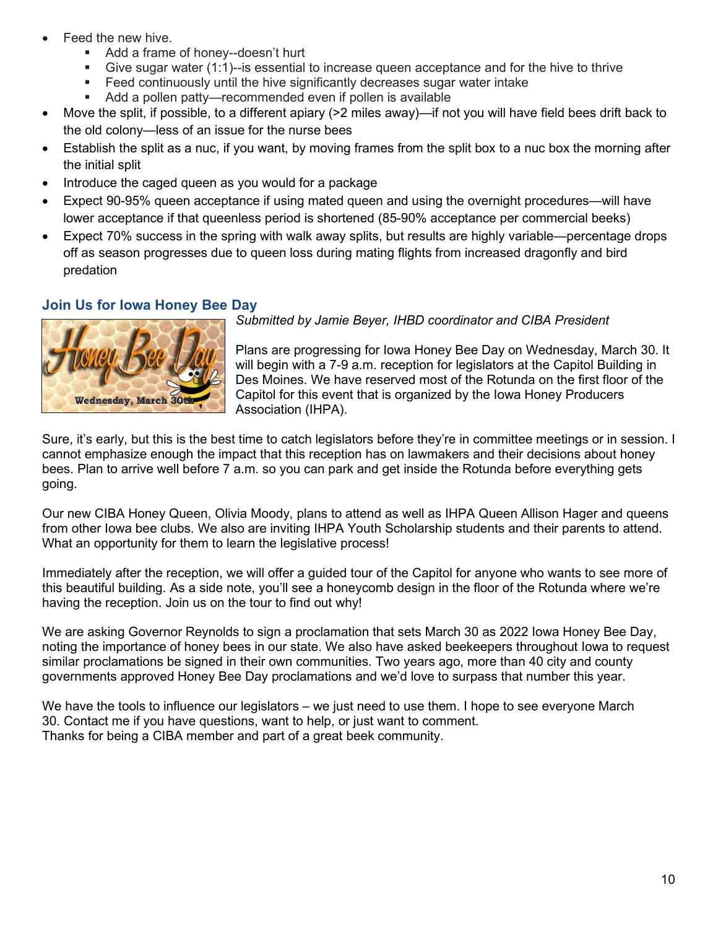- Feed the new hive.
	- Add a frame of honey--doesn't hurt
	- Give sugar water (1:1)--is essential to increase queen acceptance and for the hive to thrive
	- Feed continuously until the hive significantly decreases sugar water intake
	- Add a pollen patty—recommended even if pollen is available
- Move the split, if possible, to a different apiary (>2 miles away)—if not you will have field bees drift back to the old colony—less of an issue for the nurse bees
- Establish the split as a nuc, if you want, by moving frames from the split box to a nuc box the morning after the initial split
- Introduce the caged queen as you would for a package
- Expect 90-95% queen acceptance if using mated queen and using the overnight procedures—will have lower acceptance if that queenless period is shortened (85-90% acceptance per commercial beeks)
- Expect 70% success in the spring with walk away splits, but results are highly variable—percentage drops off as season progresses due to queen loss during mating flights from increased dragonfly and bird predation

### <span id="page-9-0"></span>**Join Us for Iowa Honey Bee Day**



*Submitted by Jamie Beyer, IHBD coordinator and CIBA President* 

Plans are progressing for Iowa Honey Bee Day on Wednesday, March 30. It will begin with a 7-9 a.m. reception for legislators at the Capitol Building in Des Moines. We have reserved most of the Rotunda on the first floor of the Capitol for this event that is organized by the Iowa Honey Producers Association (IHPA).

Sure, it's early, but this is the best time to catch legislators before they're in committee meetings or in session. I cannot emphasize enough the impact that this reception has on lawmakers and their decisions about honey bees. Plan to arrive well before 7 a.m. so you can park and get inside the Rotunda before everything gets going.

Our new CIBA Honey Queen, Olivia Moody, plans to attend as well as IHPA Queen Allison Hager and queens from other Iowa bee clubs. We also are inviting IHPA Youth Scholarship students and their parents to attend. What an opportunity for them to learn the legislative process!

Immediately after the reception, we will offer a guided tour of the Capitol for anyone who wants to see more of this beautiful building. As a side note, you'll see a honeycomb design in the floor of the Rotunda where we're having the reception. Join us on the tour to find out why!

We are asking Governor Reynolds to sign a proclamation that sets March 30 as 2022 Iowa Honey Bee Day, noting the importance of honey bees in our state. We also have asked beekeepers throughout Iowa to request similar proclamations be signed in their own communities. Two years ago, more than 40 city and county governments approved Honey Bee Day proclamations and we'd love to surpass that number this year.

We have the tools to influence our legislators – we just need to use them. I hope to see everyone March 30. Contact me if you have questions, want to help, or just want to comment. Thanks for being a CIBA member and part of a great beek community.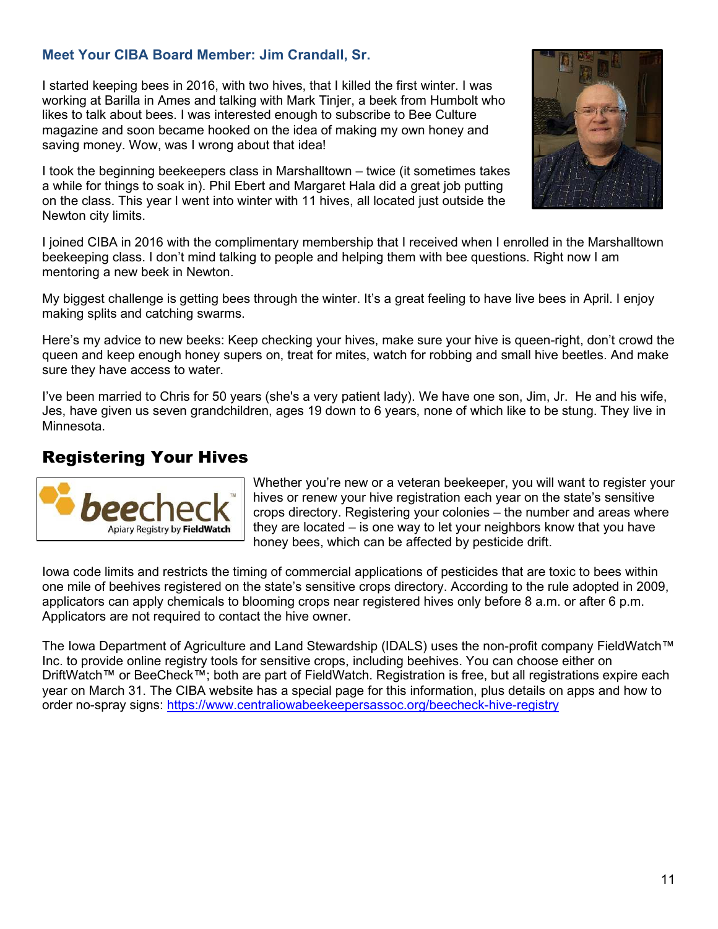### <span id="page-10-0"></span>**Meet Your CIBA Board Member: Jim Crandall, Sr.**

I started keeping bees in 2016, with two hives, that I killed the first winter. I was working at Barilla in Ames and talking with Mark Tinjer, a beek from Humbolt who likes to talk about bees. I was interested enough to subscribe to Bee Culture magazine and soon became hooked on the idea of making my own honey and saving money. Wow, was I wrong about that idea!

I took the beginning beekeepers class in Marshalltown – twice (it sometimes takes a while for things to soak in). Phil Ebert and Margaret Hala did a great job putting on the class. This year I went into winter with 11 hives, all located just outside the Newton city limits.



I joined CIBA in 2016 with the complimentary membership that I received when I enrolled in the Marshalltown beekeeping class. I don't mind talking to people and helping them with bee questions. Right now I am mentoring a new beek in Newton.

My biggest challenge is getting bees through the winter. It's a great feeling to have live bees in April. I enjoy making splits and catching swarms.

Here's my advice to new beeks: Keep checking your hives, make sure your hive is queen-right, don't crowd the queen and keep enough honey supers on, treat for mites, watch for robbing and small hive beetles. And make sure they have access to water.

I've been married to Chris for 50 years (she's a very patient lady). We have one son, Jim, Jr. He and his wife, Jes, have given us seven grandchildren, ages 19 down to 6 years, none of which like to be stung. They live in Minnesota.

# <span id="page-10-1"></span>Registering Your Hives



Whether you're new or a veteran beekeeper, you will want to register your hives or renew your hive registration each year on the state's sensitive crops directory. Registering your colonies – the number and areas where they are located – is one way to let your neighbors know that you have honey bees, which can be affected by pesticide drift.

Iowa code limits and restricts the timing of commercial applications of pesticides that are toxic to bees within one mile of beehives registered on the state's sensitive crops directory. According to the rule adopted in 2009, applicators can apply chemicals to blooming crops near registered hives only before 8 a.m. or after 6 p.m. Applicators are not required to contact the hive owner.

The Iowa Department of Agriculture and Land Stewardship (IDALS) uses the non-profit company FieldWatch™ Inc. to provide online registry tools for sensitive crops, including beehives. You can choose either on DriftWatch™ or BeeCheck™; both are part of FieldWatch. Registration is free, but all registrations expire each year on March 31. The CIBA website has a special page for this information, plus details on apps and how to order no-spray signs:<https://www.centraliowabeekeepersassoc.org/beecheck-hive-registry>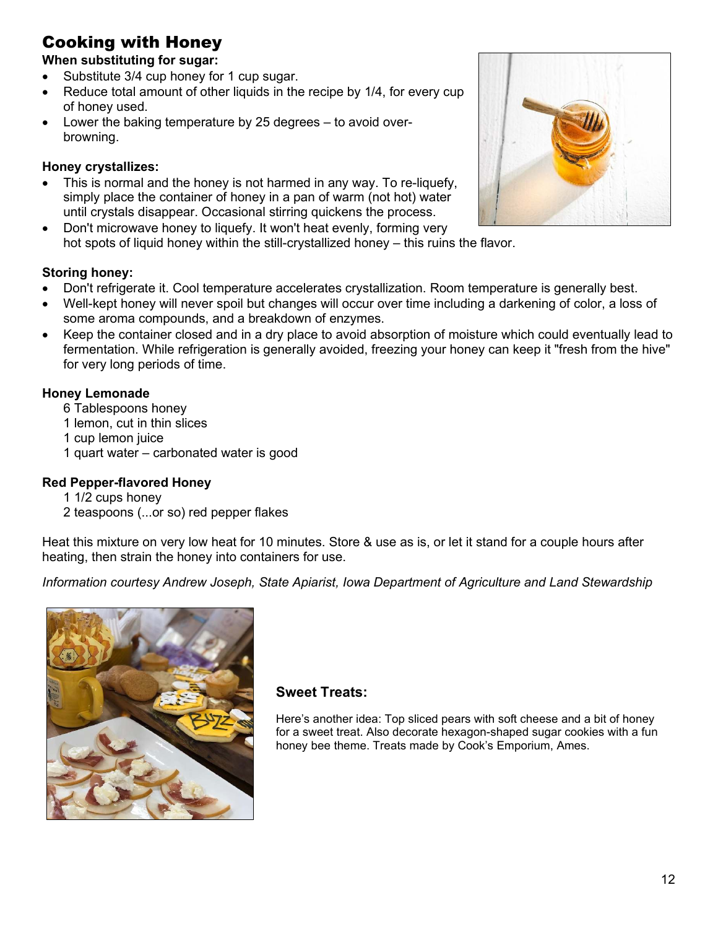# <span id="page-11-0"></span>Cooking with Honey

### **When substituting for sugar:**

- Substitute 3/4 cup honey for 1 cup sugar.
- Reduce total amount of other liquids in the recipe by 1/4, for every cup of honey used.
- Lower the baking temperature by 25 degrees to avoid overbrowning.

### **Honey crystallizes:**

- This is normal and the honey is not harmed in any way. To re-liquefy, simply place the container of honey in a pan of warm (not hot) water until crystals disappear. Occasional stirring quickens the process.
- Don't microwave honey to liquefy. It won't heat evenly, forming very hot spots of liquid honey within the still-crystallized honey – this ruins the flavor.



- Don't refrigerate it. Cool temperature accelerates crystallization. Room temperature is generally best.
- Well-kept honey will never spoil but changes will occur over time including a darkening of color, a loss of some aroma compounds, and a breakdown of enzymes.
- Keep the container closed and in a dry place to avoid absorption of moisture which could eventually lead to fermentation. While refrigeration is generally avoided, freezing your honey can keep it "fresh from the hive" for very long periods of time.

### **Honey Lemonade**

- 6 Tablespoons honey
- 1 lemon, cut in thin slices
- 1 cup lemon juice
- 1 quart water carbonated water is good

### **Red Pepper-flavored Honey**

- 1 1/2 cups honey
- 2 teaspoons (...or so) red pepper flakes

Heat this mixture on very low heat for 10 minutes. Store & use as is, or let it stand for a couple hours after heating, then strain the honey into containers for use.

*Information courtesy Andrew Joseph, State Apiarist, Iowa Department of Agriculture and Land Stewardship* 



### **Sweet Treats:**

Here's another idea: Top sliced pears with soft cheese and a bit of honey for a sweet treat. Also decorate hexagon-shaped sugar cookies with a fun honey bee theme. Treats made by Cook's Emporium, Ames.

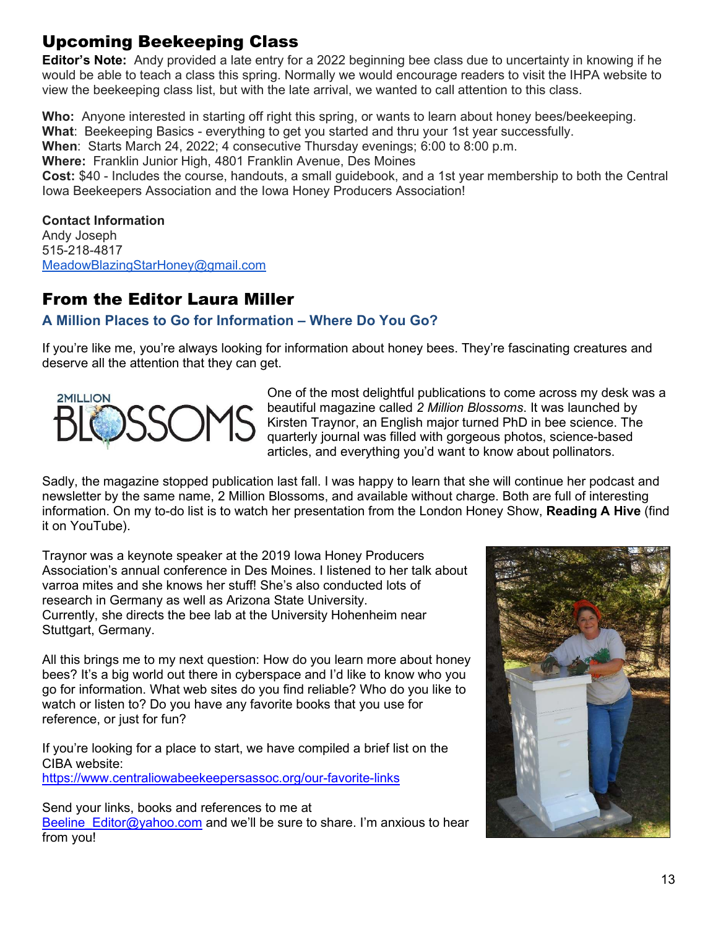# <span id="page-12-0"></span>Upcoming Beekeeping Class

**Editor's Note:** Andy provided a late entry for a 2022 beginning bee class due to uncertainty in knowing if he would be able to teach a class this spring. Normally we would encourage readers to visit the IHPA website to view the beekeeping class list, but with the late arrival, we wanted to call attention to this class.

**Who:** Anyone interested in starting off right this spring, or wants to learn about honey bees/beekeeping. **What**: Beekeeping Basics - everything to get you started and thru your 1st year successfully.

**When:** Starts March 24, 2022; 4 consecutive Thursday evenings; 6:00 to 8:00 p.m.

**Where:** Franklin Junior High, 4801 Franklin Avenue, Des Moines

**Cost:** \$40 - Includes the course, handouts, a small guidebook, and a 1st year membership to both the Central Iowa Beekeepers Association and the Iowa Honey Producers Association!

### **Contact Information**

Andy Joseph 515-218-4817 [MeadowBlazingStarHoney@gmail.com](mailto:MeadowBlazingStarHoney@gmail.com)

## <span id="page-12-1"></span>From the Editor Laura Miller

### <span id="page-12-2"></span>**A Million Places to Go for Information – Where Do You Go?**

If you're like me, you're always looking for information about honey bees. They're fascinating creatures and deserve all the attention that they can get.



One of the most delightful publications to come across my desk was a beautiful magazine called *2 Million Blossoms*. It was launched by Kirsten Traynor, an English major turned PhD in bee science. The quarterly journal was filled with gorgeous photos, science-based articles, and everything you'd want to know about pollinators.

Sadly, the magazine stopped publication last fall. I was happy to learn that she will continue her podcast and newsletter by the same name, 2 Million Blossoms, and available without charge. Both are full of interesting information. On my to-do list is to watch her presentation from the London Honey Show, **Reading A Hive** (find it on YouTube).

Traynor was a keynote speaker at the 2019 Iowa Honey Producers Association's annual conference in Des Moines. I listened to her talk about varroa mites and she knows her stuff! She's also conducted lots of research in Germany as well as Arizona State University. Currently, she directs the bee lab at the University Hohenheim near Stuttgart, Germany.

All this brings me to my next question: How do you learn more about honey bees? It's a big world out there in cyberspace and I'd like to know who you go for information. What web sites do you find reliable? Who do you like to watch or listen to? Do you have any favorite books that you use for reference, or just for fun?

If you're looking for a place to start, we have compiled a brief list on the CIBA website: <https://www.centraliowabeekeepersassoc.org/our-favorite-links>

Send your links, books and references to me at Beeline Editor@yahoo.com and we'll be sure to share. I'm anxious to hear from you!